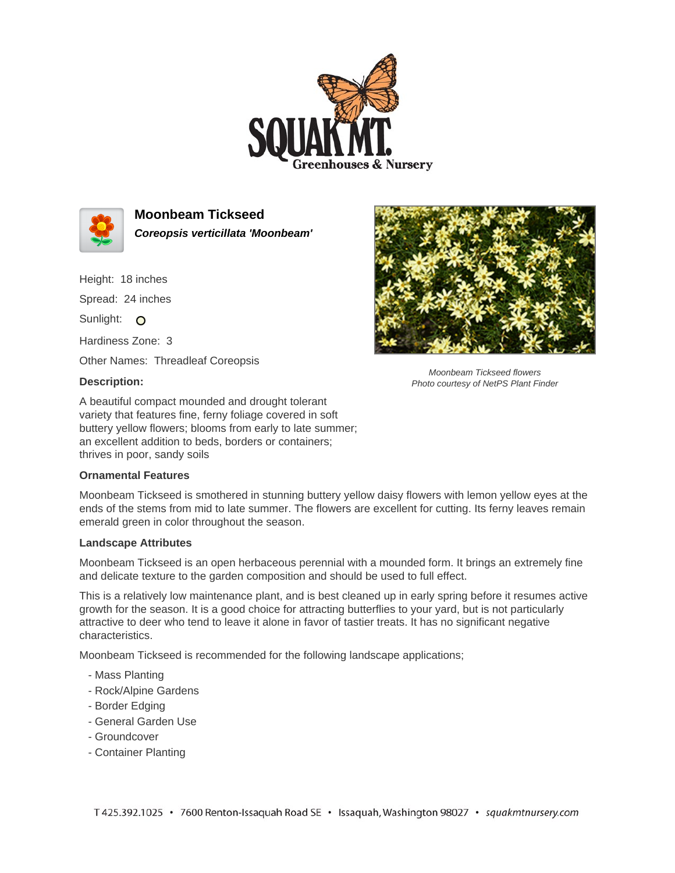



**Moonbeam Tickseed Coreopsis verticillata 'Moonbeam'**

Height: 18 inches Spread: 24 inches Sunlight: O Hardiness Zone: 3

Other Names: Threadleaf Coreopsis

## **Description:**

A beautiful compact mounded and drought tolerant variety that features fine, ferny foliage covered in soft buttery yellow flowers; blooms from early to late summer; an excellent addition to beds, borders or containers; thrives in poor, sandy soils

## **Ornamental Features**

Moonbeam Tickseed is smothered in stunning buttery yellow daisy flowers with lemon yellow eyes at the ends of the stems from mid to late summer. The flowers are excellent for cutting. Its ferny leaves remain emerald green in color throughout the season.

## **Landscape Attributes**

Moonbeam Tickseed is an open herbaceous perennial with a mounded form. It brings an extremely fine and delicate texture to the garden composition and should be used to full effect.

This is a relatively low maintenance plant, and is best cleaned up in early spring before it resumes active growth for the season. It is a good choice for attracting butterflies to your yard, but is not particularly attractive to deer who tend to leave it alone in favor of tastier treats. It has no significant negative characteristics.

Moonbeam Tickseed is recommended for the following landscape applications;

- Mass Planting
- Rock/Alpine Gardens
- Border Edging
- General Garden Use
- Groundcover
- Container Planting



Moonbeam Tickseed flowers Photo courtesy of NetPS Plant Finder